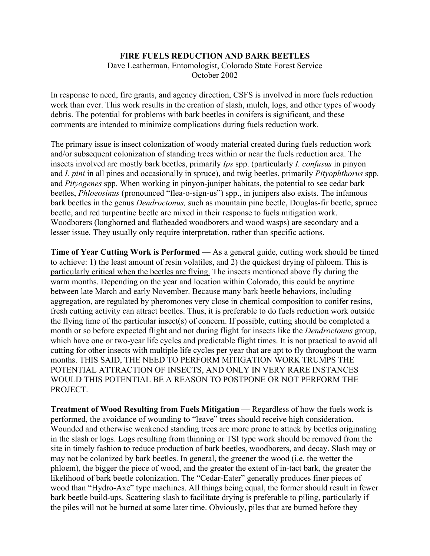## **FIRE FUELS REDUCTION AND BARK BEETLES**

Dave Leatherman, Entomologist, Colorado State Forest Service October 2002

In response to need, fire grants, and agency direction, CSFS is involved in more fuels reduction work than ever. This work results in the creation of slash, mulch, logs, and other types of woody debris. The potential for problems with bark beetles in conifers is significant, and these comments are intended to minimize complications during fuels reduction work.

The primary issue is insect colonization of woody material created during fuels reduction work and/or subsequent colonization of standing trees within or near the fuels reduction area. The insects involved are mostly bark beetles, primarily *Ips* spp. (particularly *I. confusus* in pinyon and *I. pini* in all pines and occasionally in spruce), and twig beetles, primarily *Pityophthorus* spp. and *Pityogenes* spp. When working in pinyon-juniper habitats, the potential to see cedar bark beetles, *Phloeosinus* (pronounced "flea-o-sign-us") spp., in junipers also exists. The infamous bark beetles in the genus *Dendroctonus,* such as mountain pine beetle, Douglas-fir beetle, spruce beetle, and red turpentine beetle are mixed in their response to fuels mitigation work. Woodborers (longhorned and flatheaded woodborers and wood wasps) are secondary and a lesser issue. They usually only require interpretation, rather than specific actions.

**Time of Year Cutting Work is Performed** — As a general guide, cutting work should be timed to achieve: 1) the least amount of resin volatiles, and 2) the quickest drying of phloem. This is particularly critical when the beetles are flying. The insects mentioned above fly during the warm months. Depending on the year and location within Colorado, this could be anytime between late March and early November. Because many bark beetle behaviors, including aggregation, are regulated by pheromones very close in chemical composition to conifer resins, fresh cutting activity can attract beetles. Thus, it is preferable to do fuels reduction work outside the flying time of the particular insect(s) of concern. If possible, cutting should be completed a month or so before expected flight and not during flight for insects like the *Dendroctonus* group, which have one or two-year life cycles and predictable flight times. It is not practical to avoid all cutting for other insects with multiple life cycles per year that are apt to fly throughout the warm months. THIS SAID, THE NEED TO PERFORM MITIGATION WORK TRUMPS THE POTENTIAL ATTRACTION OF INSECTS, AND ONLY IN VERY RARE INSTANCES WOULD THIS POTENTIAL BE A REASON TO POSTPONE OR NOT PERFORM THE PROJECT.

**Treatment of Wood Resulting from Fuels Mitigation** — Regardless of how the fuels work is performed, the avoidance of wounding to "leave" trees should receive high consideration. Wounded and otherwise weakened standing trees are more prone to attack by beetles originating in the slash or logs. Logs resulting from thinning or TSI type work should be removed from the site in timely fashion to reduce production of bark beetles, woodborers, and decay. Slash may or may not be colonized by bark beetles. In general, the greener the wood (i.e. the wetter the phloem), the bigger the piece of wood, and the greater the extent of in-tact bark, the greater the likelihood of bark beetle colonization. The "Cedar-Eater" generally produces finer pieces of wood than "Hydro-Axe" type machines. All things being equal, the former should result in fewer bark beetle build-ups. Scattering slash to facilitate drying is preferable to piling, particularly if the piles will not be burned at some later time. Obviously, piles that are burned before they